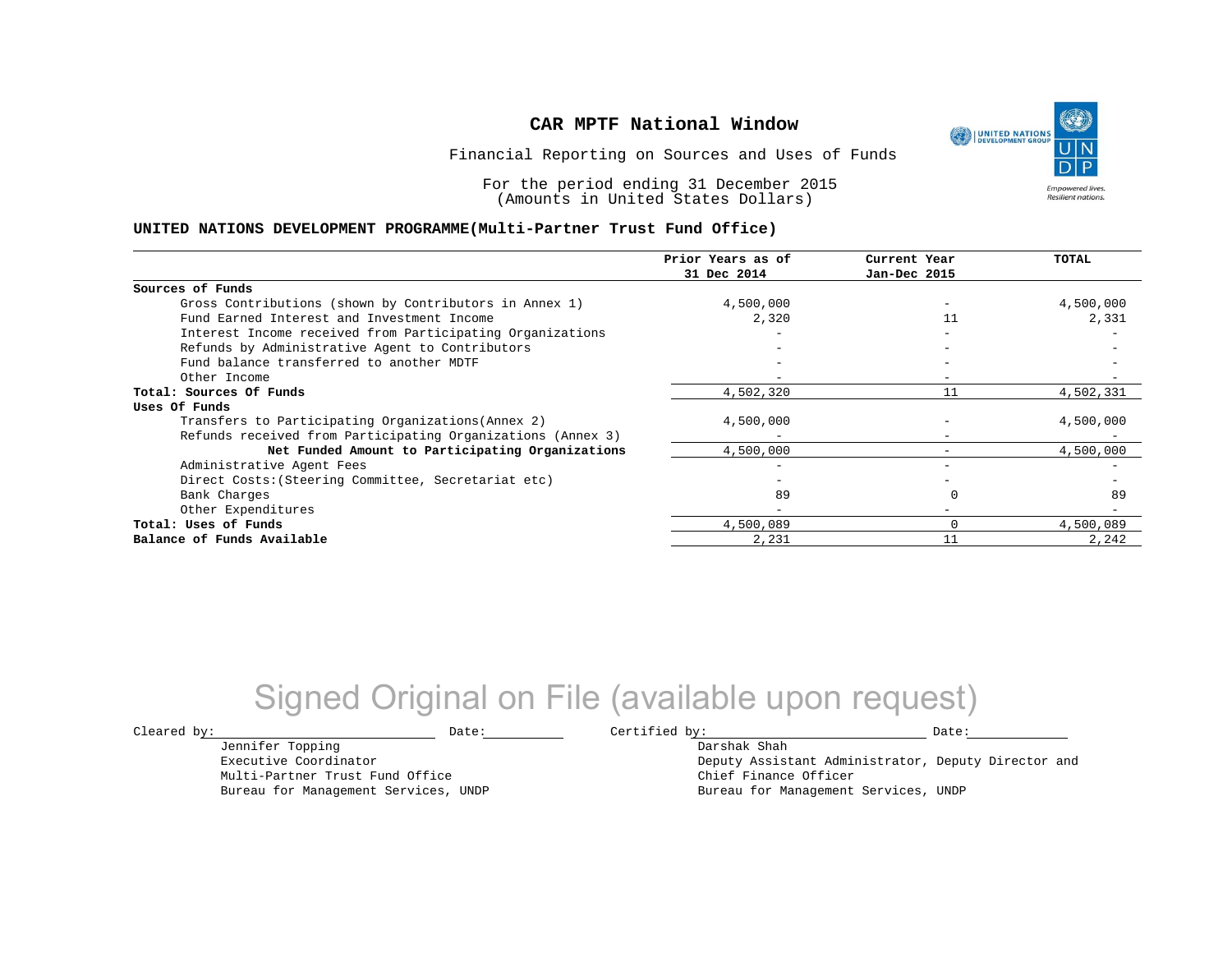UNITED NATIONS **Empowered lives Resilient nations.** 

Financial Reporting on Sources and Uses of Funds

For the period ending 31 December 2015 (Amounts in United States Dollars)

#### **UNITED NATIONS DEVELOPMENT PROGRAMME(Multi-Partner Trust Fund Office)**

|                                                             | Prior Years as of | Current Year             | TOTAL     |
|-------------------------------------------------------------|-------------------|--------------------------|-----------|
|                                                             | 31 Dec 2014       | Jan-Dec 2015             |           |
| Sources of Funds                                            |                   |                          |           |
| Gross Contributions (shown by Contributors in Annex 1)      | 4,500,000         |                          | 4,500,000 |
| Fund Earned Interest and Investment Income                  | 2,320             | 11                       | 2,331     |
| Interest Income received from Participating Organizations   |                   |                          |           |
| Refunds by Administrative Agent to Contributors             |                   | $\overline{\phantom{m}}$ |           |
| Fund balance transferred to another MDTF                    |                   |                          |           |
| Other Income                                                |                   |                          |           |
| Total: Sources Of Funds                                     | 4,502,320         | 11                       | 4,502,331 |
| Uses Of Funds                                               |                   |                          |           |
| Transfers to Participating Organizations (Annex 2)          | 4,500,000         |                          | 4,500,000 |
| Refunds received from Participating Organizations (Annex 3) |                   | $\qquad \qquad -$        |           |
| Net Funded Amount to Participating Organizations            | 4,500,000         |                          | 4,500,000 |
| Administrative Agent Fees                                   |                   |                          |           |
| Direct Costs: (Steering Committee, Secretariat etc)         |                   |                          |           |
| Bank Charges                                                | 89                |                          | 89        |
| Other Expenditures                                          |                   |                          |           |
| Total: Uses of Funds                                        | 4,500,089         |                          | 4,500,089 |
| Balance of Funds Available                                  | 2,231             | 11                       | 2,242     |

## Signed Original on File (available upon request)

Jennifer Topping Executive Coordinator Multi-Partner Trust Fund Office Bureau for Management Services, UNDP

 $\texttt{Cleared by:}\footnotesize \begin{minipage}{0.9\linewidth} \texttt{Date:}\footnotesize \begin{minipage}{0.9\linewidth} \texttt{Date:}\footnotesize \begin{minipage}{0.9\linewidth} \end{minipage} \end{minipage}$ 

Darshak Shah

Deputy Assistant Administrator, Deputy Director and Chief Finance Officer Bureau for Management Services, UNDP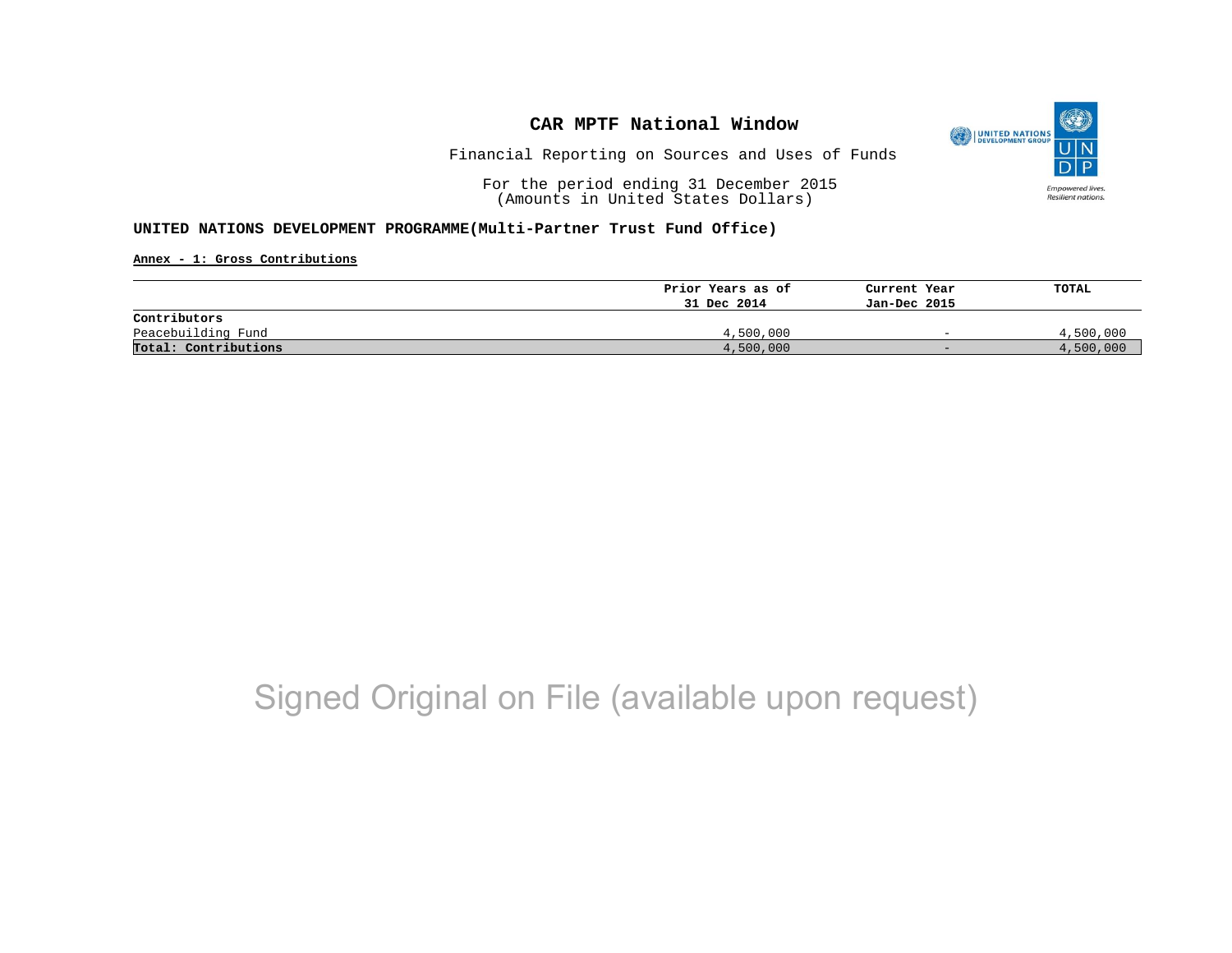

Financial Reporting on Sources and Uses of Funds

For the period ending 31 December 2015 (Amounts in United States Dollars)

### **UNITED NATIONS DEVELOPMENT PROGRAMME(Multi-Partner Trust Fund Office)**

**Annex - 1: Gross Contributions**

|                      | Prior Years as of | Current Year             | TOTAL     |
|----------------------|-------------------|--------------------------|-----------|
|                      | 31 Dec 2014       | Jan-Dec 2015             |           |
| Contributors         |                   |                          |           |
| Peacebuilding Fund   | 4,500,000         | $\overline{\phantom{0}}$ | 4,500,000 |
| Total: Contributions | 4,500,000         | $-$                      | 4,500,000 |

# Signed Original on File (available upon request)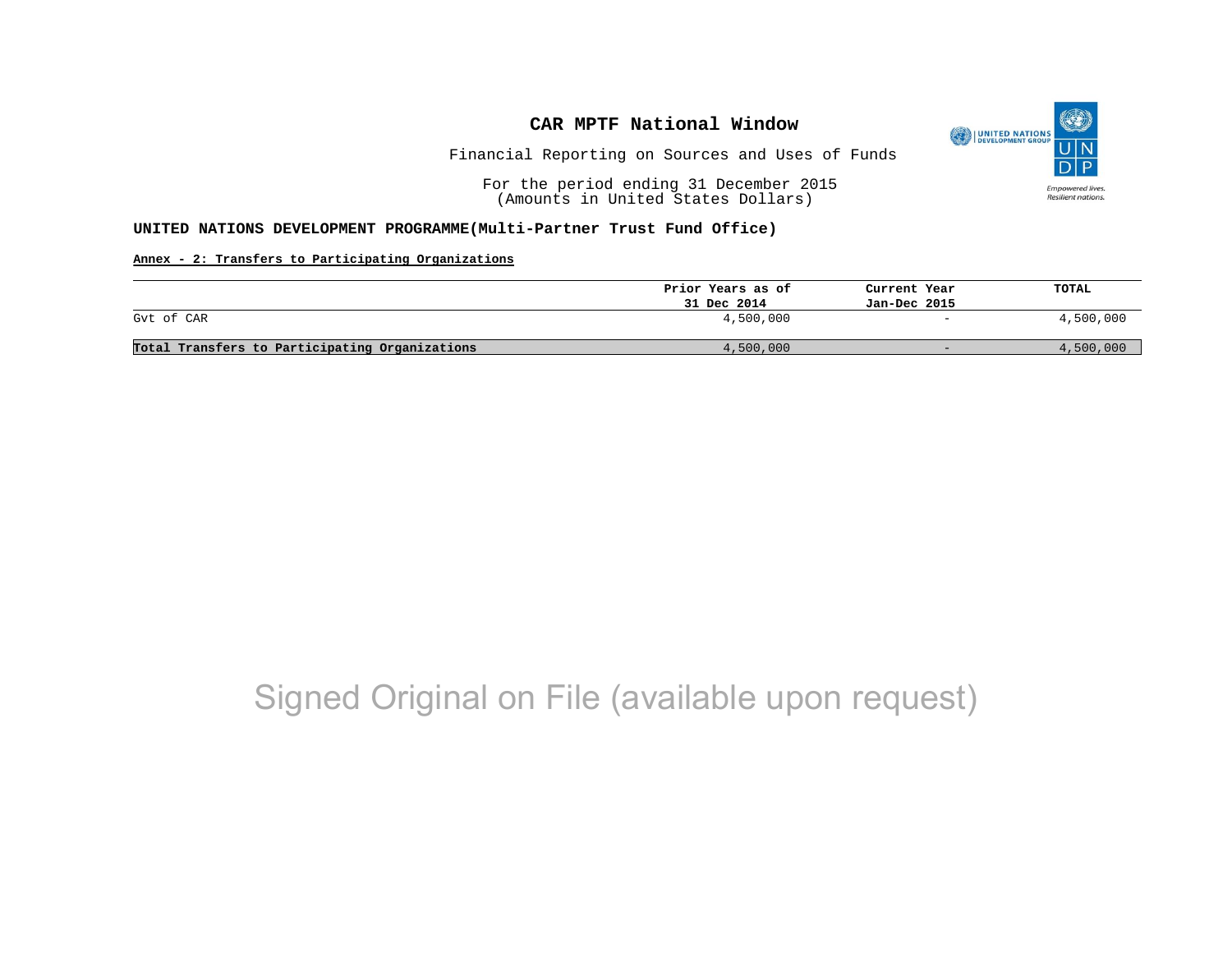

Financial Reporting on Sources and Uses of Funds

For the period ending 31 December 2015 (Amounts in United States Dollars)

#### **UNITED NATIONS DEVELOPMENT PROGRAMME(Multi-Partner Trust Fund Office)**

### **Annex - 2: Transfers to Participating Organizations**

|                                                | Prior Years as of | Current Year             | TOTAL     |
|------------------------------------------------|-------------------|--------------------------|-----------|
|                                                | 31 Dec 2014       | Jan-Dec 2015             |           |
| Gyt of CAR                                     | 4,500,000         | $\overline{\phantom{0}}$ | 4,500,000 |
| Total Transfers to Participating Organizations | 4,500,000         | $-$                      | 4,500,000 |

# Signed Original on File (available upon request)